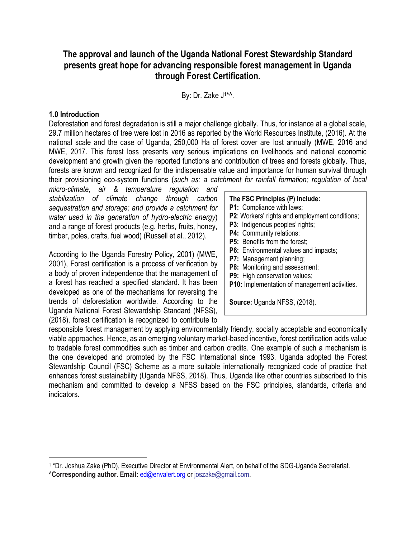# **The approval and launch of the Uganda National Forest Stewardship Standard presents great hope for advancing responsible forest management in Uganda through Forest Certification.**

By: Dr. Zake J<sup>1\*^</sup>.

#### **1.0 Introduction**

 $\overline{a}$ 

Deforestation and forest degradation is still a major challenge globally. Thus, for instance at a global scale, 29.7 million hectares of tree were lost in 2016 as reported by the World Resources Institute, (2016). At the national scale and the case of Uganda, 250,000 Ha of forest cover are lost annually (MWE, 2016 and MWE, 2017. This forest loss presents very serious implications on livelihoods and national economic development and growth given the reported functions and contribution of trees and forests globally. Thus, forests are known and recognized for the indispensable value and importance for human survival through their provisioning eco-system functions (*such as: a catchment for rainfall formation; regulation of local* 

*micro-climate, air & temperature regulation and stabilization of climate change through carbon sequestration and storage; and provide a catchment for water used in the generation of hydro-electric energy*) and a range of forest products (e.g. herbs, fruits, honey, timber, poles, crafts, fuel wood) (Russell et al., 2012).

According to the Uganda Forestry Policy, 2001) (MWE, 2001), Forest certification is a process of verification by a body of proven independence that the management of a forest has reached a specified standard. It has been developed as one of the mechanisms for reversing the trends of deforestation worldwide. According to the Uganda National Forest Stewardship Standard (NFSS), (2018), forest certification is recognized to contribute to

#### **The FSC Principles (P) include:**

- **P1:** Compliance with laws;
- **P2**: Workers' rights and employment conditions;
- **P3**: Indigenous peoples' rights;
- **P4:** Community relations;
- **P5:** Benefits from the forest:
- **P6:** Environmental values and impacts;
- **P7:** Management planning;
- **P8:** Monitoring and assessment;
- **P9:** High conservation values;
- **P10:** Implementation of management activities.

**Source:** Uganda NFSS, (2018).

responsible forest management by applying environmentally friendly, socially acceptable and economically viable approaches. Hence, as an emerging voluntary market-based incentive, forest certification adds value to tradable forest commodities such as timber and carbon credits. One example of such a mechanism is the one developed and promoted by the FSC International since 1993. Uganda adopted the Forest Stewardship Council (FSC) Scheme as a more suitable internationally recognized code of practice that enhances forest sustainability (Uganda NFSS, 2018). Thus, Uganda like other countries subscribed to this mechanism and committed to develop a NFSS based on the FSC principles, standards, criteria and indicators.

<sup>&</sup>lt;sup>1</sup> \*Dr. Joshua Zake (PhD), Executive Director at Environmental Alert, on behalf of the SDG-Uganda Secretariat. ^**Corresponding author. Email:** [ed@envalert.org](mailto:ed@envalert.org) or joszake@gmail.com.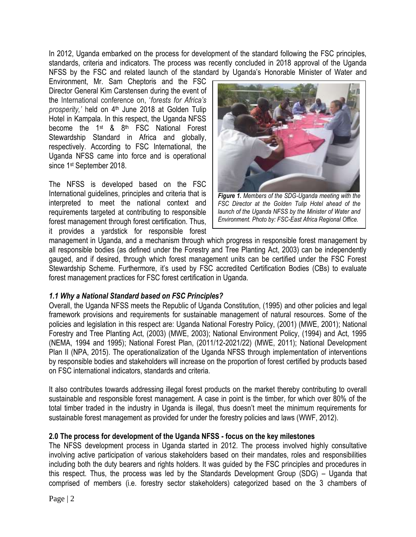In 2012, Uganda embarked on the process for development of the standard following the FSC principles, standards, criteria and indicators. The process was recently concluded in 2018 approval of the Uganda NFSS by the FSC and related launch of the standard by Uganda's Honorable Minister of Water and

Environment, Mr. Sam Cheptoris and the FSC Director General Kim Carstensen during the event of the International conference on, '*forests for Africa's prosperity,'* held on 4 th June 2018 at Golden Tulip Hotel in Kampala. In this respect, the Uganda NFSS become the 1st & 8th FSC National Forest Stewardship Standard in Africa and globally, respectively. According to FSC International, the Uganda NFSS came into force and is operational since 1st September 2018.

The NFSS is developed based on the FSC International guidelines, principles and criteria that is interpreted to meet the national context and requirements targeted at contributing to responsible forest management through forest certification. Thus, it provides a yardstick for responsible forest



*Figure 1. Members of the SDG-Uganda meeting with the FSC Director at the Golden Tulip Hotel ahead of the launch of the Uganda NFSS by the Minister of Water and Environment. Photo by: FSC-East Africa Regional Office.*

management in Uganda, and a mechanism through which progress in responsible forest management by all responsible bodies (as defined under the Forestry and Tree Planting Act, 2003) can be independently gauged, and if desired, through which forest management units can be certified under the FSC Forest Stewardship Scheme. Furthermore, it's used by FSC accredited Certification Bodies (CBs) to evaluate forest management practices for FSC forest certification in Uganda.

#### *1.1 Why a National Standard based on FSC Principles?*

Overall, the Uganda NFSS meets the Republic of Uganda Constitution, (1995) and other policies and legal framework provisions and requirements for sustainable management of natural resources. Some of the policies and legislation in this respect are: Uganda National Forestry Policy, (2001) (MWE, 2001); National Forestry and Tree Planting Act, (2003) (MWE, 2003); National Environment Policy, (1994) and Act, 1995 (NEMA, 1994 and 1995); National Forest Plan, (2011/12-2021/22) (MWE, 2011); National Development Plan II (NPA, 2015). The operationalization of the Uganda NFSS through implementation of interventions by responsible bodies and stakeholders will increase on the proportion of forest certified by products based on FSC international indicators, standards and criteria.

It also contributes towards addressing illegal forest products on the market thereby contributing to overall sustainable and responsible forest management. A case in point is the timber, for which over 80% of the total timber traded in the industry in Uganda is illegal, thus doesn't meet the minimum requirements for sustainable forest management as provided for under the forestry policies and laws (WWF, 2012).

#### **2.0 The process for development of the Uganda NFSS - focus on the key milestones**

The NFSS development process in Uganda started in 2012. The process involved highly consultative involving active participation of various stakeholders based on their mandates, roles and responsibilities including both the duty bearers and rights holders. It was guided by the FSC principles and procedures in this respect. Thus, the process was led by the Standards Development Group (SDG) – Uganda that comprised of members (i.e. forestry sector stakeholders) categorized based on the 3 chambers of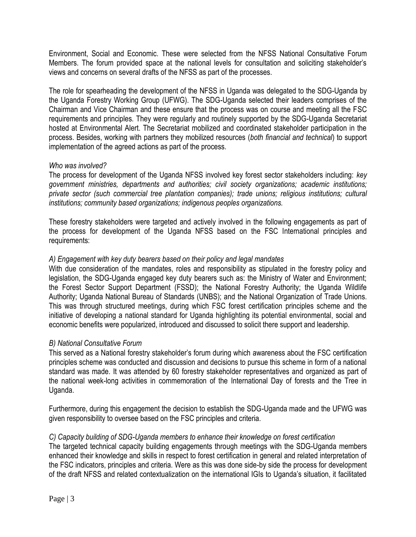Environment, Social and Economic. These were selected from the NFSS National Consultative Forum Members. The forum provided space at the national levels for consultation and soliciting stakeholder's views and concerns on several drafts of the NFSS as part of the processes.

The role for spearheading the development of the NFSS in Uganda was delegated to the SDG-Uganda by the Uganda Forestry Working Group (UFWG). The SDG-Uganda selected their leaders comprises of the Chairman and Vice Chairman and these ensure that the process was on course and meeting all the FSC requirements and principles. They were regularly and routinely supported by the SDG-Uganda Secretariat hosted at Environmental Alert. The Secretariat mobilized and coordinated stakeholder participation in the process. Besides, working with partners they mobilized resources (*both financial and technical*) to support implementation of the agreed actions as part of the process.

#### *Who was involved?*

The process for development of the Uganda NFSS involved key forest sector stakeholders including: *key government ministries, departments and authorities; civil society organizations; academic institutions; private sector (such commercial tree plantation companies); trade unions; religious institutions; cultural institutions; community based organizations; indigenous peoples organizations.* 

These forestry stakeholders were targeted and actively involved in the following engagements as part of the process for development of the Uganda NFSS based on the FSC International principles and requirements:

#### *A) Engagement with key duty bearers based on their policy and legal mandates*

With due consideration of the mandates, roles and responsibility as stipulated in the forestry policy and legislation, the SDG-Uganda engaged key duty bearers such as: the Ministry of Water and Environment; the Forest Sector Support Department (FSSD); the National Forestry Authority; the Uganda Wildlife Authority; Uganda National Bureau of Standards (UNBS); and the National Organization of Trade Unions. This was through structured meetings, during which FSC forest certification principles scheme and the initiative of developing a national standard for Uganda highlighting its potential environmental, social and economic benefits were popularized, introduced and discussed to solicit there support and leadership.

#### *B) National Consultative Forum*

This served as a National forestry stakeholder's forum during which awareness about the FSC certification principles scheme was conducted and discussion and decisions to pursue this scheme in form of a national standard was made. It was attended by 60 forestry stakeholder representatives and organized as part of the national week-long activities in commemoration of the International Day of forests and the Tree in Uganda.

Furthermore, during this engagement the decision to establish the SDG-Uganda made and the UFWG was given responsibility to oversee based on the FSC principles and criteria.

#### *C) Capacity building of SDG-Uganda members to enhance their knowledge on forest certification*

The targeted technical capacity building engagements through meetings with the SDG-Uganda members enhanced their knowledge and skills in respect to forest certification in general and related interpretation of the FSC indicators, principles and criteria. Were as this was done side-by side the process for development of the draft NFSS and related contextualization on the international IGIs to Uganda's situation, it facilitated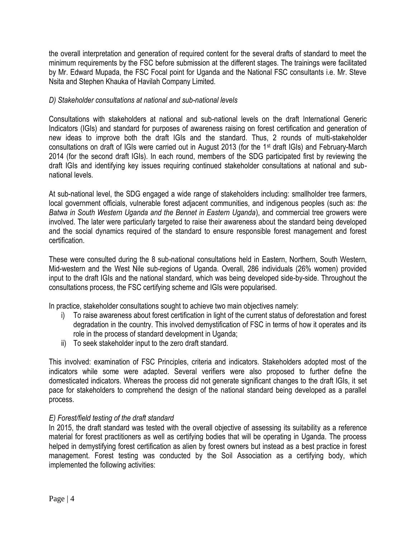the overall interpretation and generation of required content for the several drafts of standard to meet the minimum requirements by the FSC before submission at the different stages. The trainings were facilitated by Mr. Edward Mupada, the FSC Focal point for Uganda and the National FSC consultants i.e. Mr. Steve Nsita and Stephen Khauka of Havilah Company Limited.

### *D) Stakeholder consultations at national and sub-national levels*

Consultations with stakeholders at national and sub-national levels on the draft International Generic Indicators (IGIs) and standard for purposes of awareness raising on forest certification and generation of new ideas to improve both the draft IGIs and the standard. Thus, 2 rounds of multi-stakeholder consultations on draft of IGIs were carried out in August 2013 (for the 1st draft IGIs) and February-March 2014 (for the second draft IGIs). In each round, members of the SDG participated first by reviewing the draft IGIs and identifying key issues requiring continued stakeholder consultations at national and subnational levels.

At sub-national level, the SDG engaged a wide range of stakeholders including: smallholder tree farmers, local government officials, vulnerable forest adjacent communities, and indigenous peoples (such as: *the Batwa in South Western Uganda and the Bennet in Eastern Uganda*), and commercial tree growers were involved. The later were particularly targeted to raise their awareness about the standard being developed and the social dynamics required of the standard to ensure responsible forest management and forest certification.

These were consulted during the 8 sub-national consultations held in Eastern, Northern, South Western, Mid-western and the West Nile sub-regions of Uganda. Overall, 286 individuals (26% women) provided input to the draft IGIs and the national standard, which was being developed side-by-side. Throughout the consultations process, the FSC certifying scheme and IGIs were popularised.

In practice, stakeholder consultations sought to achieve two main objectives namely:

- i) To raise awareness about forest certification in light of the current status of deforestation and forest degradation in the country. This involved demystification of FSC in terms of how it operates and its role in the process of standard development in Uganda;
- ii) To seek stakeholder input to the zero draft standard.

This involved: examination of FSC Principles, criteria and indicators. Stakeholders adopted most of the indicators while some were adapted. Several verifiers were also proposed to further define the domesticated indicators. Whereas the process did not generate significant changes to the draft IGIs, it set pace for stakeholders to comprehend the design of the national standard being developed as a parallel process.

#### *E) Forest/field testing of the draft standard*

In 2015, the draft standard was tested with the overall objective of assessing its suitability as a reference material for forest practitioners as well as certifying bodies that will be operating in Uganda. The process helped in demystifying forest certification as alien by forest owners but instead as a best practice in forest management. Forest testing was conducted by the Soil Association as a certifying body, which implemented the following activities: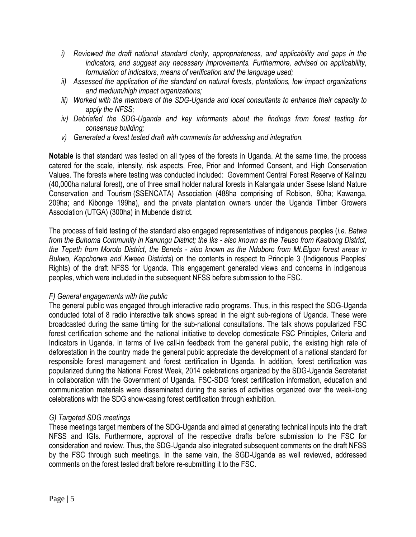- *i) Reviewed the draft national standard clarity, appropriateness, and applicability and gaps in the indicators, and suggest any necessary improvements. Furthermore, advised on applicability, formulation of indicators, means of verification and the language used;*
- *ii) Assessed the application of the standard on natural forests, plantations, low impact organizations and medium/high impact organizations;*
- *iii) Worked with the members of the SDG-Uganda and local consultants to enhance their capacity to apply the NFSS;*
- *iv) Debriefed the SDG-Uganda and key informants about the findings from forest testing for consensus building;*
- *v) Generated a forest tested draft with comments for addressing and integration.*

**Notable** is that standard was tested on all types of the forests in Uganda. At the same time, the process catered for the scale, intensity, risk aspects, Free, Prior and Informed Consent, and High Conservation Values. The forests where testing was conducted included: Government Central Forest Reserve of Kalinzu (40,000ha natural forest), one of three small holder natural forests in Kalangala under Ssese Island Nature Conservation and Tourism (SSENCATA) Association (488ha comprising of Robison, 80ha; Kawanga, 209ha; and Kibonge 199ha), and the private plantation owners under the Uganda Timber Growers Association (UTGA) (300ha) in Mubende district.

The process of field testing of the standard also engaged representatives of indigenous peoples (*i.e. Batwa from the Buhoma Community in Kanungu District; the Iks - also known as the Teuso from Kaabong District, the Tepeth from Moroto District, the Benets - also known as the Ndoboro from Mt.Elgon forest areas in Bukwo, Kapchorwa and Kween Districts*) on the contents in respect to Principle 3 (Indigenous Peoples' Rights) of the draft NFSS for Uganda. This engagement generated views and concerns in indigenous peoples, which were included in the subsequent NFSS before submission to the FSC.

#### *F) General engagements with the public*

The general public was engaged through interactive radio programs. Thus, in this respect the SDG-Uganda conducted total of 8 radio interactive talk shows spread in the eight sub-regions of Uganda. These were broadcasted during the same timing for the sub-national consultations. The talk shows popularized FSC forest certification scheme and the national initiative to develop domesticate FSC Principles, Criteria and Indicators in Uganda. In terms of live call-in feedback from the general public, the existing high rate of deforestation in the country made the general public appreciate the development of a national standard for responsible forest management and forest certification in Uganda. In addition, forest certification was popularized during the National Forest Week, 2014 celebrations organized by the SDG-Uganda Secretariat in collaboration with the Government of Uganda. FSC-SDG forest certification information, education and communication materials were disseminated during the series of activities organized over the week-long celebrations with the SDG show-casing forest certification through exhibition.

# *G) Targeted SDG meetings*

These meetings target members of the SDG-Uganda and aimed at generating technical inputs into the draft NFSS and IGIs. Furthermore, approval of the respective drafts before submission to the FSC for consideration and review. Thus, the SDG-Uganda also integrated subsequent comments on the draft NFSS by the FSC through such meetings. In the same vain, the SGD-Uganda as well reviewed, addressed comments on the forest tested draft before re-submitting it to the FSC.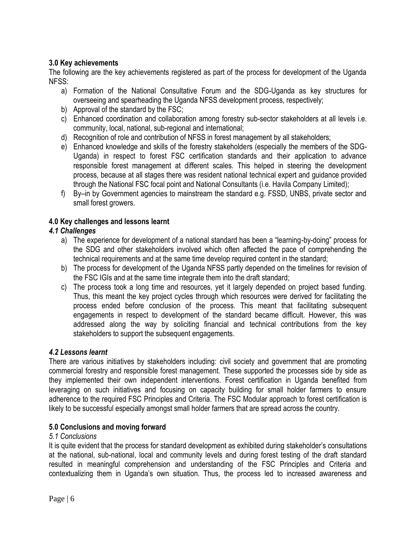# **3.0 Key achievements**

The following are the key achievements registered as part of the process for development of the Uganda NFSS:

- a) Formation of the National Consultative Forum and the SDG-Uganda as key structures for overseeing and spearheading the Uganda NFSS development process, respectively;
- b) Approval of the standard by the FSC;
- c) Enhanced coordination and collaboration among forestry sub-sector stakeholders at all levels i.e. community, local, national, sub-regional and international;
- d) Recognition of role and contribution of NFSS in forest management by all stakeholders;
- e) Enhanced knowledge and skills of the forestry stakeholders (especially the members of the SDG-Uganda) in respect to forest FSC certification standards and their application to advance responsible forest management at different scales. This helped in steering the development process, because at all stages there was resident national technical expert and guidance provided through the National FSC focal point and National Consultants (i.e. Havila Company Limited);
- f) By–in by Government agencies to mainstream the standard e.g. FSSD, UNBS, private sector and small forest growers.

# **4.0 Key challenges and lessons learnt**

# *4.1 Challenges*

- a) The experience for development of a national standard has been a "learning-by-doing" process for the SDG and other stakeholders involved which often affected the pace of comprehending the technical requirements and at the same time develop required content in the standard;
- b) The process for development of the Uganda NFSS partly depended on the timelines for revision of the FSC IGIs and at the same time integrate them into the draft standard;
- c) The process took a long time and resources, yet it largely depended on project based funding. Thus, this meant the key project cycles through which resources were derived for facilitating the process ended before conclusion of the process. This meant that facilitating subsequent engagements in respect to development of the standard became difficult. However, this was addressed along the way by soliciting financial and technical contributions from the key stakeholders to support the subsequent engagements.

#### *4.2 Lessons learnt*

There are various initiatives by stakeholders including: civil society and government that are promoting commercial forestry and responsible forest management. These supported the processes side by side as they implemented their own independent interventions. Forest certification in Uganda benefited from leveraging on such initiatives and focusing on capacity building for small holder farmers to ensure adherence to the required FSC Principles and Criteria. The FSC Modular approach to forest certification is likely to be successful especially amongst small holder farmers that are spread across the country.

#### **5.0 Conclusions and moving forward**

#### *5.1 Conclusions*

It is quite evident that the process for standard development as exhibited during stakeholder's consultations at the national, sub-national, local and community levels and during forest testing of the draft standard resulted in meaningful comprehension and understanding of the FSC Principles and Criteria and contextualizing them in Uganda's own situation. Thus, the process led to increased awareness and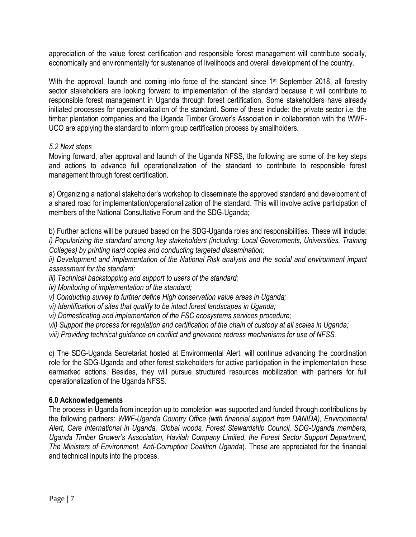appreciation of the value forest certification and responsible forest management will contribute socially, economically and environmentally for sustenance of livelihoods and overall development of the country.

With the approval, launch and coming into force of the standard since 1<sup>st</sup> September 2018, all forestry sector stakeholders are looking forward to implementation of the standard because it will contribute to responsible forest management in Uganda through forest certification. Some stakeholders have already initiated processes for operationalization of the standard. Some of these include: the private sector i.e. the timber plantation companies and the Uganda Timber Grower's Association in collaboration with the WWF-UCO are applying the standard to inform group certification process by smallholders.

#### *5.2 Next steps*

Moving forward, after approval and launch of the Uganda NFSS, the following are some of the key steps and actions to advance full operationalization of the standard to contribute to responsible forest management through forest certification.

a) Organizing a national stakeholder's workshop to disseminate the approved standard and development of a shared road for implementation/operationalization of the standard. This will involve active participation of members of the National Consultative Forum and the SDG-Uganda;

b) Further actions will be pursued based on the SDG-Uganda roles and responsibilities. These will include: *i) Popularizing the standard among key stakeholders (including: Local Governments, Universities, Training Colleges) by printing hard copies and conducting targeted dissemination;*

*ii) Development and implementation of the National Risk analysis and the social and environment impact assessment for the standard;*

*iii) Technical backstopping and support to users of the standard;*

*iv) Monitoring of implementation of the standard;*

*v) Conducting survey to further define High conservation value areas in Uganda;*

*vi) Identification of sites that qualify to be intact forest landscapes in Uganda;*

*vi) Domesticating and implementation of the FSC ecosystems services procedure;*

*vii) Support the process for regulation and certification of the chain of custody at all scales in Uganda;*

*viii) Providing technical guidance on conflict and grievance redress mechanisms for use of NFSS.*

c) The SDG-Uganda Secretariat hosted at Environmental Alert, will continue advancing the coordination role for the SDG-Uganda and other forest stakeholders for active participation in the implementation these earmarked actions. Besides, they will pursue structured resources mobilization with partners for full operationalization of the Uganda NFSS.

#### **6.0 Acknowledgements**

The process in Uganda from inception up to completion was supported and funded through contributions by the following partners: *WWF-Uganda Country Office (with financial support from DANIDA), Environmental Alert, Care International in Uganda, Global woods, Forest Stewardship Council, SDG-Uganda members, Uganda Timber Grower's Association, Havilah Company Limited, the Forest Sector Support Department, The Ministers of Environment, Anti-Corruption Coalition Uganda*). These are appreciated for the financial and technical inputs into the process.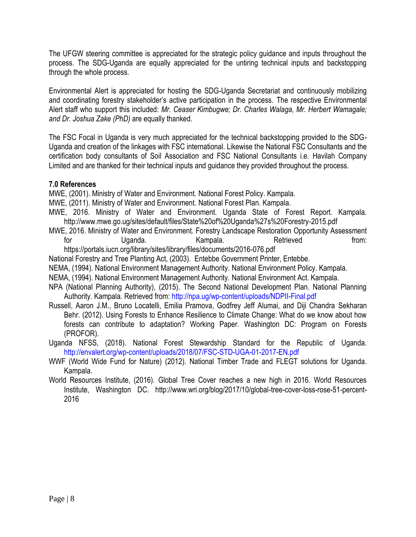The UFGW steering committee is appreciated for the strategic policy guidance and inputs throughout the process. The SDG-Uganda are equally appreciated for the untiring technical inputs and backstopping through the whole process.

Environmental Alert is appreciated for hosting the SDG-Uganda Secretariat and continuously mobilizing and coordinating forestry stakeholder's active participation in the process. The respective Environmental Alert staff who support this included: *Mr. Ceaser Kimbugwe; Dr. Charles Walaga, Mr. Herbert Wamagale; and Dr. Joshua Zake (PhD)* are equally thanked.

The FSC Focal in Uganda is very much appreciated for the technical backstopping provided to the SDG-Uganda and creation of the linkages with FSC international. Likewise the National FSC Consultants and the certification body consultants of Soil Association and FSC National Consultants i.e. Havilah Company Limited and are thanked for their technical inputs and guidance they provided throughout the process.

#### **7.0 References**

MWE, (2001). Ministry of Water and Environment. National Forest Policy. Kampala.

- MWE, (2011). Ministry of Water and Environment. National Forest Plan. Kampala.
- MWE, 2016. Ministry of Water and Environment. Uganda State of Forest Report. Kampala. <http://www.mwe.go.ug/sites/default/files/State%20of%20Uganda%27s%20Forestry-2015.pdf>
- MWE, 2016. Ministry of Water and Environment. Forestry Landscape Restoration Opportunity Assessment for by Uganda. Compala. Kampala. Retrieved from:

<https://portals.iucn.org/library/sites/library/files/documents/2016-076.pdf>

National Forestry and Tree Planting Act, (2003). Entebbe Government Printer, Entebbe.

- NEMA, (1994). National Environment Management Authority. National Environment Policy. Kampala.
- NEMA, (1994). National Environment Management Authority. National Environment Act. Kampala.
- NPA (National Planning Authority), (2015). The Second National Development Plan. National Planning Authority. Kampala. Retrieved from:<http://npa.ug/wp-content/uploads/NDPII-Final.pdf>
- Russell, Aaron J.M., Bruno Locatelli, Emilia Pramova, Godfrey Jeff Alumai, and Diji Chandra Sekharan Behr. (2012). Using Forests to Enhance Resilience to Climate Change: What do we know about how forests can contribute to adaptation? Working Paper. Washington DC: Program on Forests (PROFOR).
- Uganda NFSS, (2018). National Forest Stewardship Standard for the Republic of Uganda. <http://envalert.org/wp-content/uploads/2018/07/FSC-STD-UGA-01-2017-EN.pdf>
- WWF (World Wide Fund for Nature) (2012). National Timber Trade and FLEGT solutions for Uganda. Kampala.
- World Resources Institute, (2016). Global Tree Cover reaches a new high in 2016. World Resources Institute, Washington DC. http://www.wri.org/blog/2017/10/global-tree-cover-loss-rose-51-percent-2016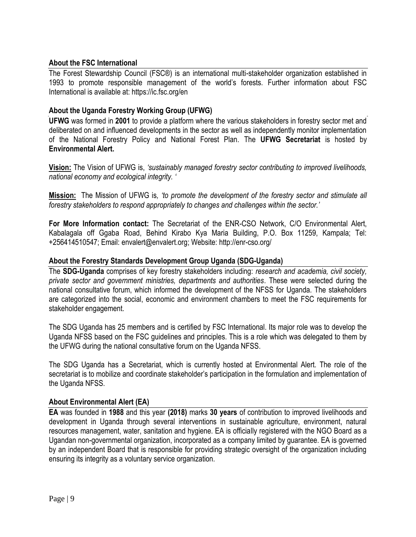#### **About the FSC International**

The Forest Stewardship Council (FSC®) is an international multi-stakeholder organization established in 1993 to promote responsible management of the world's forests. Further information about FSC International is available at: https://ic.fsc.org/en

#### **About the Uganda Forestry Working Group (UFWG)**

**UFWG** was formed in **2001** to provide a platform where the various stakeholders in forestry sector met and deliberated on and influenced developments in the sector as well as independently monitor implementation of the National Forestry Policy and National Forest Plan. The **UFWG Secretariat** is hosted by **Environmental Alert.**

**Vision:** The Vision of UFWG is, *'sustainably managed forestry sector contributing to improved livelihoods, national economy and ecological integrity. '*

**Mission:** The Mission of UFWG is*, 'to promote the development of the forestry sector and stimulate all forestry stakeholders to respond appropriately to changes and challenges within the sector.'*

**For More Information contact:** The Secretariat of the ENR-CSO Network, C/O Environmental Alert, Kabalagala off Ggaba Road, Behind Kirabo Kya Maria Building, P.O. Box 11259, Kampala; Tel: +256414510547; Email: [envalert@envalert.org;](mailto:envalert@envalert.org) Website:<http://enr-cso.org/>

#### **About the Forestry Standards Development Group Uganda (SDG-Uganda)**

The **SDG-Uganda** comprises of key forestry stakeholders including: *research and academia, civil society, private sector and government ministries, departments and authorities*. These were selected during the national consultative forum, which informed the development of the NFSS for Uganda. The stakeholders are categorized into the social, economic and environment chambers to meet the FSC requirements for stakeholder engagement.

The SDG Uganda has 25 members and is certified by FSC International. Its major role was to develop the Uganda NFSS based on the FSC guidelines and principles. This is a role which was delegated to them by the UFWG during the national consultative forum on the Uganda NFSS.

The SDG Uganda has a Secretariat, which is currently hosted at Environmental Alert. The role of the secretariat is to mobilize and coordinate stakeholder's participation in the formulation and implementation of the Uganda NFSS.

#### **About Environmental Alert (EA)**

**EA** was founded in **1988** and this year **(2018)** marks **30 years** of contribution to improved livelihoods and development in Uganda through several interventions in sustainable agriculture, environment, natural resources management, water, sanitation and hygiene. EA is officially registered with the NGO Board as a Ugandan non-governmental organization, incorporated as a company limited by guarantee. EA is governed by an independent Board that is responsible for providing strategic oversight of the organization including ensuring its integrity as a voluntary service organization.